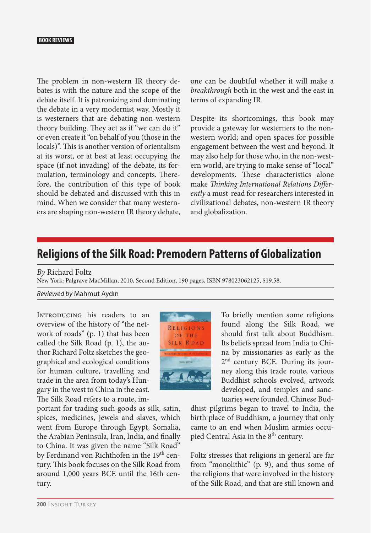## **BOOK REVIEWS**

The problem in non-western IR theory debates is with the nature and the scope of the debate itself. It is patronizing and dominating the debate in a very modernist way. Mostly it is westerners that are debating non-western theory building. They act as if "we can do it" or even create it "on behalf of you (those in the locals)". This is another version of orientalism at its worst, or at best at least occupying the space (if not invading) of the debate, its formulation, terminology and concepts. Therefore, the contribution of this type of book should be debated and discussed with this in mind. When we consider that many westerners are shaping non-western IR theory debate, one can be doubtful whether it will make a *breakthrough* both in the west and the east in terms of expanding IR.

Despite its shortcomings, this book may provide a gateway for westerners to the nonwestern world; and open spaces for possible engagement between the west and beyond. It may also help for those who, in the non-western world, are trying to make sense of "local" developments. These characteristics alone make *Thinking International Relations Differently* a must-read for researchers interested in civilizational debates, non-western IR theory and globalization.

## **Religions of the Silk Road: Premodern Patterns of Globalization**

*By* Richard Foltz

New York: Palgrave MacMillan, 2010, Second Edition, 190 pages, ISBN 978023062125, \$19.58.

*Reviewed by* Mahmut Aydın

INTRODUCING his readers to an overview of the history of "the network of roads" (p. 1) that has been called the Silk Road (p. 1), the author Richard Foltz sketches the geographical and ecological conditions for human culture, travelling and trade in the area from today's Hungary in the west to China in the east. The Silk Road refers to a route, im-

portant for trading such goods as silk, satin, spices, medicines, jewels and slaves, which went from Europe through Egypt, Somalia, the Arabian Peninsula, Iran, India, and finally to China. It was given the name "Silk Road" by Ferdinand von Richthofen in the 19<sup>th</sup> century. This book focuses on the Silk Road from around 1,000 years BCE until the 16th century.



To briefly mention some religions found along the Silk Road, we should first talk about Buddhism. Its beliefs spread from India to China by missionaries as early as the 2<sup>nd</sup> century BCE. During its journey along this trade route, various Buddhist schools evolved, artwork developed, and temples and sanctuaries were founded. Chinese Bud-

dhist pilgrims began to travel to India, the birth place of Buddhism, a journey that only came to an end when Muslim armies occupied Central Asia in the 8<sup>th</sup> century.

Foltz stresses that religions in general are far from "monolithic" (p. 9), and thus some of the religions that were involved in the history of the Silk Road, and that are still known and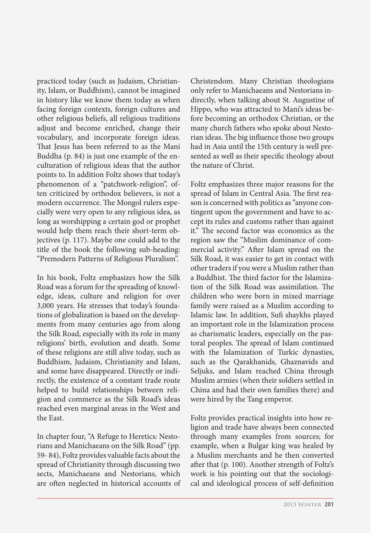practiced today (such as Judaism, Christianity, Islam, or Buddhism), cannot be imagined in history like we know them today as when facing foreign contexts, foreign cultures and other religious beliefs, all religious traditions adjust and become enriched, change their vocabulary, and incorporate foreign ideas. That Jesus has been referred to as the Mani Buddha (p. 84) is just one example of the enculturation of religious ideas that the author points to. In addition Foltz shows that today's phenomenon of a "patchwork-religion", often criticized by orthodox believers, is not a modern occurrence. The Mongol rulers especially were very open to any religious idea, as long as worshipping a certain god or prophet would help them reach their short-term objectives (p. 117). Maybe one could add to the title of the book the following sub-heading: "Premodern Patterns of Religious Pluralism".

In his book, Foltz emphasizes how the Silk Road was a forum for the spreading of knowledge, ideas, culture and religion for over 3,000 years. He stresses that today's foundations of globalization is based on the developments from many centuries ago from along the Silk Road, especially with its role in many religions' birth, evolution and death. Some of these religions are still alive today, such as Buddhism, Judaism, Christianity and Islam, and some have disappeared. Directly or indirectly, the existence of a constant trade route helped to build relationships between religion and commerce as the Silk Road's ideas reached even marginal areas in the West and the East.

In chapter four, "A Refuge to Heretics: Nestorians and Manichaeans on the Silk Road" (pp. 59- 84), Foltz provides valuable facts about the spread of Christianity through discussing two sects, Manichaeans and Nestorians, which are often neglected in historical accounts of Christendom. Many Christian theologians only refer to Manichaeans and Nestorians indirectly, when talking about St. Augustine of Hippo, who was attracted to Mani's ideas before becoming an orthodox Christian, or the many church fathers who spoke about Nestorian ideas. The big influence those two groups had in Asia until the 15th century is well presented as well as their specific theology about the nature of Christ.

Foltz emphasizes three major reasons for the spread of Islam in Central Asia. The first reason is concerned with politics as "anyone contingent upon the government and have to accept its rules and customs rather than against it." The second factor was economics as the region saw the "Muslim dominance of commercial activity." After Islam spread on the Silk Road, it was easier to get in contact with other traders if you were a Muslim rather than a Buddhist. The third factor for the Islamization of the Silk Road was assimilation. The children who were born in mixed marriage family were raised as a Muslim according to Islamic law. In addition, Sufi shaykhs played an important role in the Islamization process as charismatic leaders, especially on the pastoral peoples. The spread of Islam continued with the Islamization of Turkic dynasties, such as the Qarakhanids, Ghaznavids and Seljuks, and Islam reached China through Muslim armies (when their soldiers settled in China and had their own families there) and were hired by the Tang emperor.

Foltz provides practical insights into how religion and trade have always been connected through many examples from sources; for example, when a Bulgar king was healed by a Muslim merchants and he then converted after that (p. 100). Another strength of Foltz's work is his pointing out that the sociological and ideological process of self-definition